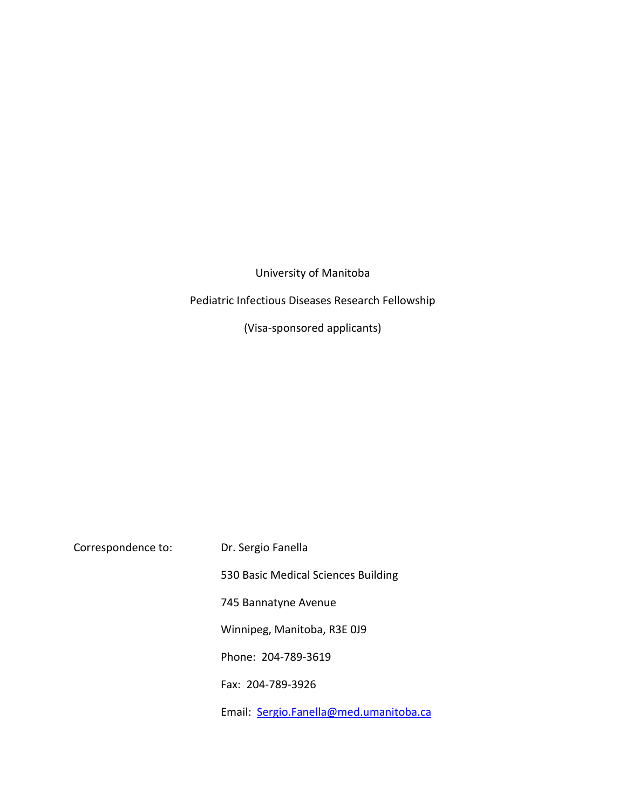University of Manitoba

# Pediatric Infectious Diseases Research Fellowship

(Visa-sponsored applicants)

| Correspondence to: | Dr. Sergio Fanella                     |
|--------------------|----------------------------------------|
|                    | 530 Basic Medical Sciences Building    |
|                    | 745 Bannatyne Avenue                   |
|                    | Winnipeg, Manitoba, R3E 0J9            |
|                    | Phone: 204-789-3619                    |
|                    | Fax: 204-789-3926                      |
|                    | Email: Sergio.Fanella@med.umanitoba.ca |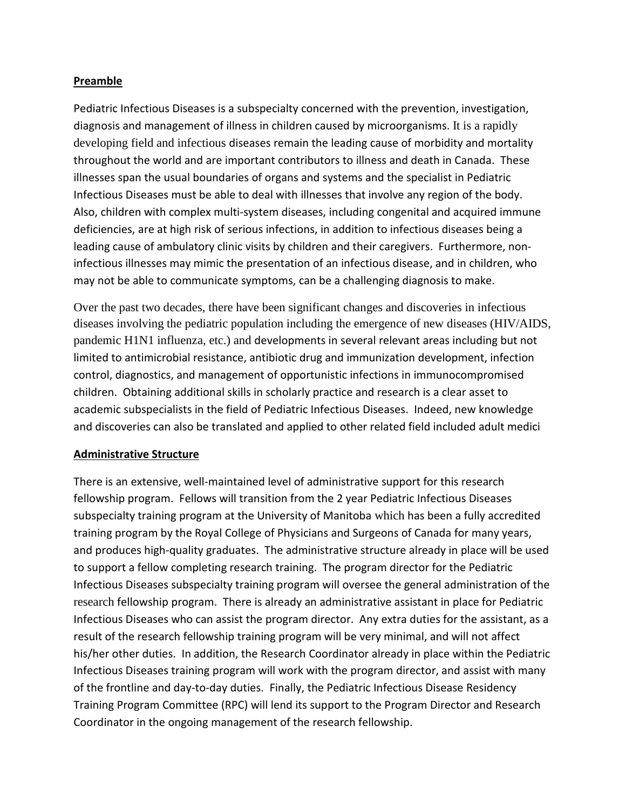### **Preamble**

Pediatric Infectious Diseases is a subspecialty concerned with the prevention, investigation, diagnosis and management of illness in children caused by microorganisms. It is a rapidly developing field and infectious diseases remain the leading cause of morbidity and mortality throughout the world and are important contributors to illness and death in Canada. These illnesses span the usual boundaries of organs and systems and the specialist in Pediatric Infectious Diseases must be able to deal with illnesses that involve any region of the body. Also, children with complex multi-system diseases, including congenital and acquired immune deficiencies, are at high risk of serious infections, in addition to infectious diseases being a leading cause of ambulatory clinic visits by children and their caregivers. Furthermore, noninfectious illnesses may mimic the presentation of an infectious disease, and in children, who may not be able to communicate symptoms, can be a challenging diagnosis to make.

Over the past two decades, there have been significant changes and discoveries in infectious diseases involving the pediatric population including the emergence of new diseases (HIV/AIDS, pandemic H1N1 influenza, etc.) and developments in several relevant areas including but not limited to antimicrobial resistance, antibiotic drug and immunization development, infection control, diagnostics, and management of opportunistic infections in immunocompromised children. Obtaining additional skills in scholarly practice and research is a clear asset to academic subspecialists in the field of Pediatric Infectious Diseases. Indeed, new knowledge and discoveries can also be translated and applied to other related field included adult medici

## **Administrative Structure**

There is an extensive, well-maintained level of administrative support for this research fellowship program. Fellows will transition from the 2 year Pediatric Infectious Diseases subspecialty training program at the University of Manitoba which has been a fully accredited training program by the Royal College of Physicians and Surgeons of Canada for many years, and produces high-quality graduates. The administrative structure already in place will be used to support a fellow completing research training. The program director for the Pediatric Infectious Diseases subspecialty training program will oversee the general administration of the research fellowship program. There is already an administrative assistant in place for Pediatric Infectious Diseases who can assist the program director. Any extra duties for the assistant, as a result of the research fellowship training program will be very minimal, and will not affect his/her other duties. In addition, the Research Coordinator already in place within the Pediatric Infectious Diseases training program will work with the program director, and assist with many of the frontline and day-to-day duties. Finally, the Pediatric Infectious Disease Residency Training Program Committee (RPC) will lend its support to the Program Director and Research Coordinator in the ongoing management of the research fellowship.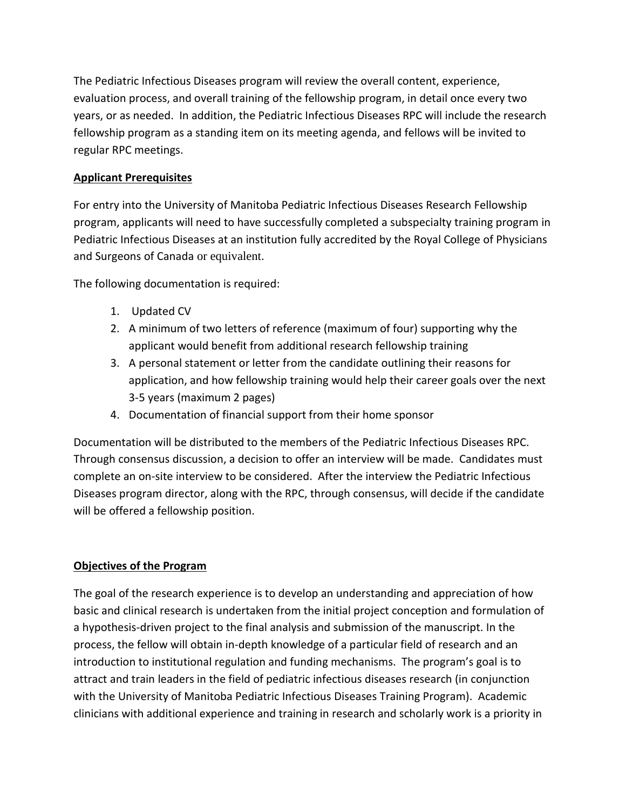The Pediatric Infectious Diseases program will review the overall content, experience, evaluation process, and overall training of the fellowship program, in detail once every two years, or as needed. In addition, the Pediatric Infectious Diseases RPC will include the research fellowship program as a standing item on its meeting agenda, and fellows will be invited to regular RPC meetings.

## **Applicant Prerequisites**

For entry into the University of Manitoba Pediatric Infectious Diseases Research Fellowship program, applicants will need to have successfully completed a subspecialty training program in Pediatric Infectious Diseases at an institution fully accredited by the Royal College of Physicians and Surgeons of Canada or equivalent.

The following documentation is required:

- 1. Updated CV
- 2. A minimum of two letters of reference (maximum of four) supporting why the applicant would benefit from additional research fellowship training
- 3. A personal statement or letter from the candidate outlining their reasons for application, and how fellowship training would help their career goals over the next 3-5 years (maximum 2 pages)
- 4. Documentation of financial support from their home sponsor

Documentation will be distributed to the members of the Pediatric Infectious Diseases RPC. Through consensus discussion, a decision to offer an interview will be made. Candidates must complete an on-site interview to be considered. After the interview the Pediatric Infectious Diseases program director, along with the RPC, through consensus, will decide if the candidate will be offered a fellowship position.

## **Objectives of the Program**

The goal of the research experience is to develop an understanding and appreciation of how basic and clinical research is undertaken from the initial project conception and formulation of a hypothesis-driven project to the final analysis and submission of the manuscript. In the process, the fellow will obtain in-depth knowledge of a particular field of research and an introduction to institutional regulation and funding mechanisms. The program's goal is to attract and train leaders in the field of pediatric infectious diseases research (in conjunction with the University of Manitoba Pediatric Infectious Diseases Training Program). Academic clinicians with additional experience and training in research and scholarly work is a priority in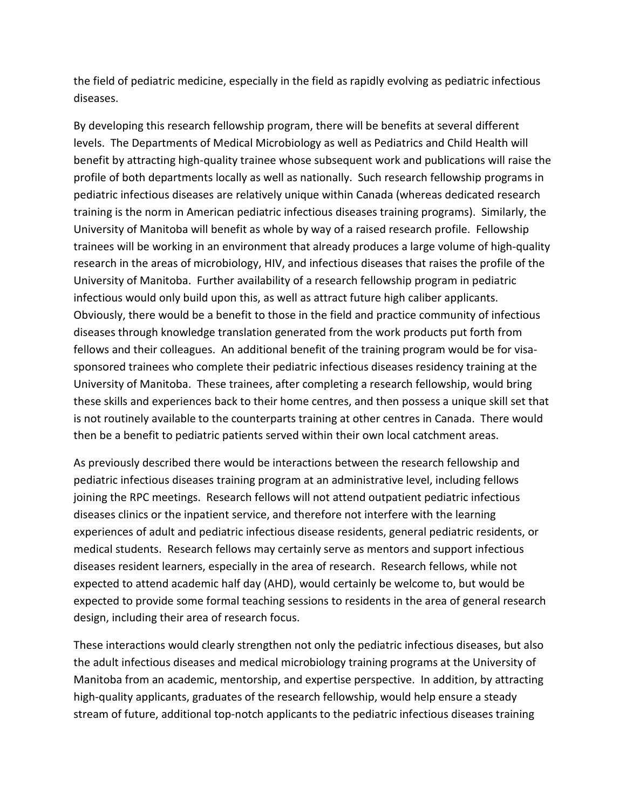the field of pediatric medicine, especially in the field as rapidly evolving as pediatric infectious diseases.

By developing this research fellowship program, there will be benefits at several different levels. The Departments of Medical Microbiology as well as Pediatrics and Child Health will benefit by attracting high-quality trainee whose subsequent work and publications will raise the profile of both departments locally as well as nationally. Such research fellowship programs in pediatric infectious diseases are relatively unique within Canada (whereas dedicated research training is the norm in American pediatric infectious diseases training programs). Similarly, the University of Manitoba will benefit as whole by way of a raised research profile. Fellowship trainees will be working in an environment that already produces a large volume of high-quality research in the areas of microbiology, HIV, and infectious diseases that raises the profile of the University of Manitoba. Further availability of a research fellowship program in pediatric infectious would only build upon this, as well as attract future high caliber applicants. Obviously, there would be a benefit to those in the field and practice community of infectious diseases through knowledge translation generated from the work products put forth from fellows and their colleagues. An additional benefit of the training program would be for visasponsored trainees who complete their pediatric infectious diseases residency training at the University of Manitoba. These trainees, after completing a research fellowship, would bring these skills and experiences back to their home centres, and then possess a unique skill set that is not routinely available to the counterparts training at other centres in Canada. There would then be a benefit to pediatric patients served within their own local catchment areas.

As previously described there would be interactions between the research fellowship and pediatric infectious diseases training program at an administrative level, including fellows joining the RPC meetings. Research fellows will not attend outpatient pediatric infectious diseases clinics or the inpatient service, and therefore not interfere with the learning experiences of adult and pediatric infectious disease residents, general pediatric residents, or medical students. Research fellows may certainly serve as mentors and support infectious diseases resident learners, especially in the area of research. Research fellows, while not expected to attend academic half day (AHD), would certainly be welcome to, but would be expected to provide some formal teaching sessions to residents in the area of general research design, including their area of research focus.

These interactions would clearly strengthen not only the pediatric infectious diseases, but also the adult infectious diseases and medical microbiology training programs at the University of Manitoba from an academic, mentorship, and expertise perspective. In addition, by attracting high-quality applicants, graduates of the research fellowship, would help ensure a steady stream of future, additional top-notch applicants to the pediatric infectious diseases training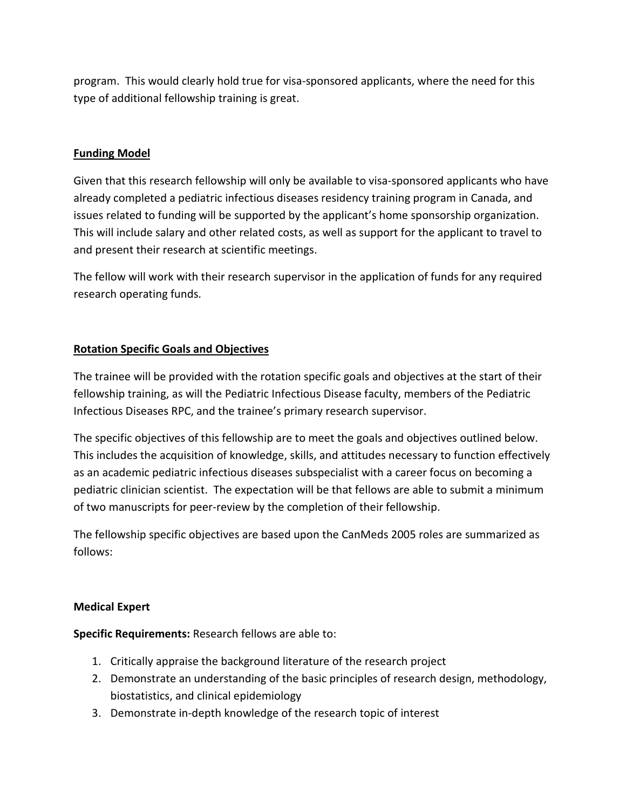program. This would clearly hold true for visa-sponsored applicants, where the need for this type of additional fellowship training is great.

## **Funding Model**

Given that this research fellowship will only be available to visa-sponsored applicants who have already completed a pediatric infectious diseases residency training program in Canada, and issues related to funding will be supported by the applicant's home sponsorship organization. This will include salary and other related costs, as well as support for the applicant to travel to and present their research at scientific meetings.

The fellow will work with their research supervisor in the application of funds for any required research operating funds.

### **Rotation Specific Goals and Objectives**

The trainee will be provided with the rotation specific goals and objectives at the start of their fellowship training, as will the Pediatric Infectious Disease faculty, members of the Pediatric Infectious Diseases RPC, and the trainee's primary research supervisor.

The specific objectives of this fellowship are to meet the goals and objectives outlined below. This includes the acquisition of knowledge, skills, and attitudes necessary to function effectively as an academic pediatric infectious diseases subspecialist with a career focus on becoming a pediatric clinician scientist. The expectation will be that fellows are able to submit a minimum of two manuscripts for peer-review by the completion of their fellowship.

The fellowship specific objectives are based upon the CanMeds 2005 roles are summarized as follows:

#### **Medical Expert**

**Specific Requirements:** Research fellows are able to:

- 1. Critically appraise the background literature of the research project
- 2. Demonstrate an understanding of the basic principles of research design, methodology, biostatistics, and clinical epidemiology
- 3. Demonstrate in-depth knowledge of the research topic of interest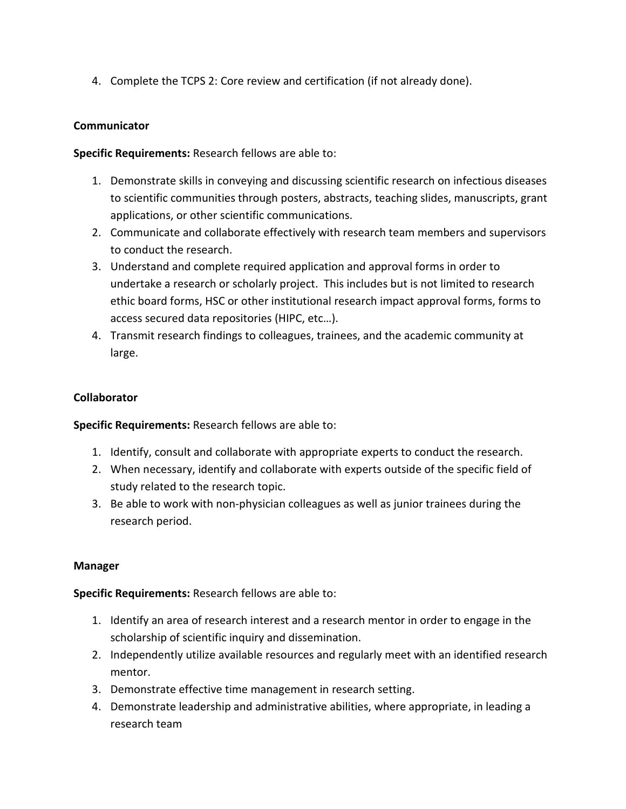4. Complete the TCPS 2: Core review and certification (if not already done).

## **Communicator**

**Specific Requirements:** Research fellows are able to:

- 1. Demonstrate skills in conveying and discussing scientific research on infectious diseases to scientific communities through posters, abstracts, teaching slides, manuscripts, grant applications, or other scientific communications.
- 2. Communicate and collaborate effectively with research team members and supervisors to conduct the research.
- 3. Understand and complete required application and approval forms in order to undertake a research or scholarly project. This includes but is not limited to research ethic board forms, HSC or other institutional research impact approval forms, forms to access secured data repositories (HIPC, etc…).
- 4. Transmit research findings to colleagues, trainees, and the academic community at large.

### **Collaborator**

**Specific Requirements:** Research fellows are able to:

- 1. Identify, consult and collaborate with appropriate experts to conduct the research.
- 2. When necessary, identify and collaborate with experts outside of the specific field of study related to the research topic.
- 3. Be able to work with non-physician colleagues as well as junior trainees during the research period.

#### **Manager**

**Specific Requirements:** Research fellows are able to:

- 1. Identify an area of research interest and a research mentor in order to engage in the scholarship of scientific inquiry and dissemination.
- 2. Independently utilize available resources and regularly meet with an identified research mentor.
- 3. Demonstrate effective time management in research setting.
- 4. Demonstrate leadership and administrative abilities, where appropriate, in leading a research team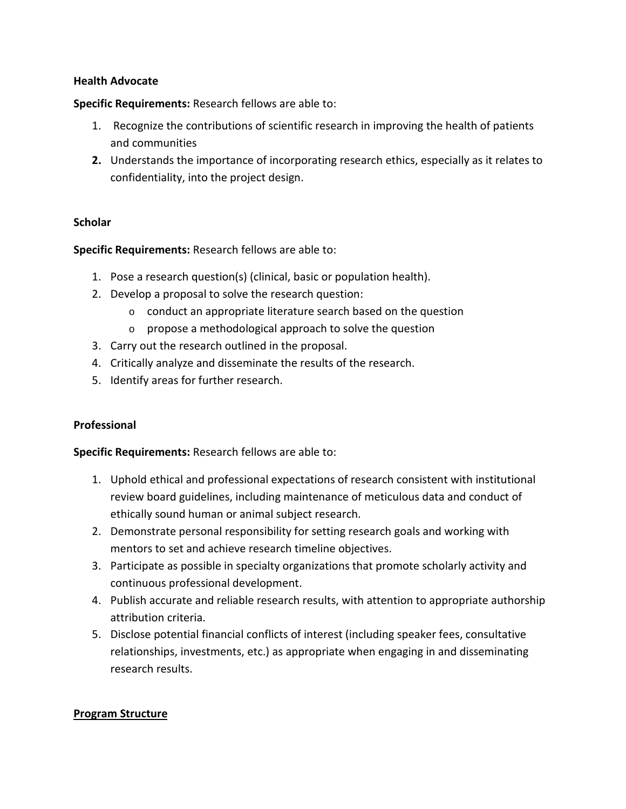#### **Health Advocate**

**Specific Requirements:** Research fellows are able to:

- 1. Recognize the contributions of scientific research in improving the health of patients and communities
- **2.** Understands the importance of incorporating research ethics, especially as it relates to confidentiality, into the project design.

### **Scholar**

**Specific Requirements:** Research fellows are able to:

- 1. Pose a research question(s) (clinical, basic or population health).
- 2. Develop a proposal to solve the research question:
	- o conduct an appropriate literature search based on the question
	- o propose a methodological approach to solve the question
- 3. Carry out the research outlined in the proposal.
- 4. Critically analyze and disseminate the results of the research.
- 5. Identify areas for further research.

#### **Professional**

**Specific Requirements:** Research fellows are able to:

- 1. Uphold ethical and professional expectations of research consistent with institutional review board guidelines, including maintenance of meticulous data and conduct of ethically sound human or animal subject research.
- 2. Demonstrate personal responsibility for setting research goals and working with mentors to set and achieve research timeline objectives.
- 3. Participate as possible in specialty organizations that promote scholarly activity and continuous professional development.
- 4. Publish accurate and reliable research results, with attention to appropriate authorship attribution criteria.
- 5. Disclose potential financial conflicts of interest (including speaker fees, consultative relationships, investments, etc.) as appropriate when engaging in and disseminating research results.

#### **Program Structure**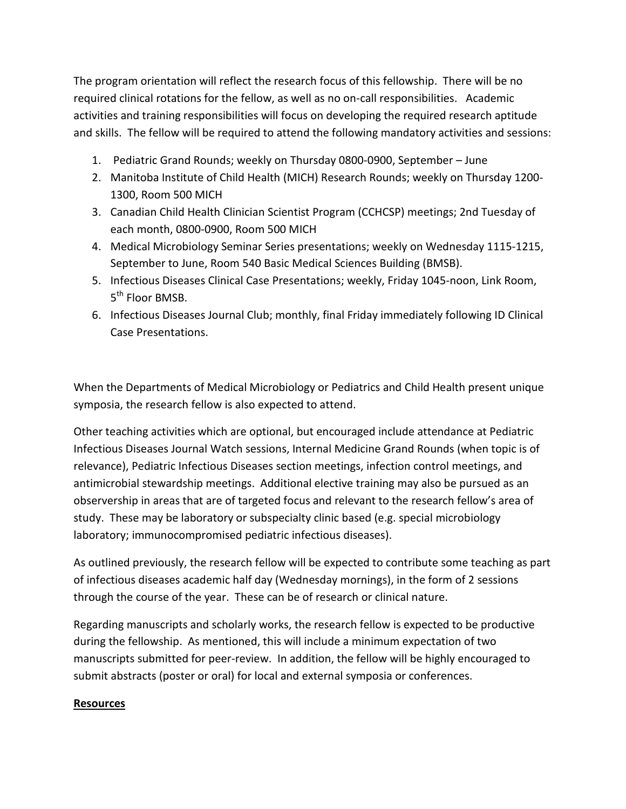The program orientation will reflect the research focus of this fellowship. There will be no required clinical rotations for the fellow, as well as no on-call responsibilities. Academic activities and training responsibilities will focus on developing the required research aptitude and skills. The fellow will be required to attend the following mandatory activities and sessions:

- 1. Pediatric Grand Rounds; weekly on Thursday 0800-0900, September June
- 2. Manitoba Institute of Child Health (MICH) Research Rounds; weekly on Thursday 1200- 1300, Room 500 MICH
- 3. Canadian Child Health Clinician Scientist Program (CCHCSP) meetings; 2nd Tuesday of each month, 0800-0900, Room 500 MICH
- 4. Medical Microbiology Seminar Series presentations; weekly on Wednesday 1115-1215, September to June, Room 540 Basic Medical Sciences Building (BMSB).
- 5. Infectious Diseases Clinical Case Presentations; weekly, Friday 1045-noon, Link Room, 5<sup>th</sup> Floor BMSB.
- 6. Infectious Diseases Journal Club; monthly, final Friday immediately following ID Clinical Case Presentations.

When the Departments of Medical Microbiology or Pediatrics and Child Health present unique symposia, the research fellow is also expected to attend.

Other teaching activities which are optional, but encouraged include attendance at Pediatric Infectious Diseases Journal Watch sessions, Internal Medicine Grand Rounds (when topic is of relevance), Pediatric Infectious Diseases section meetings, infection control meetings, and antimicrobial stewardship meetings. Additional elective training may also be pursued as an observership in areas that are of targeted focus and relevant to the research fellow's area of study. These may be laboratory or subspecialty clinic based (e.g. special microbiology laboratory; immunocompromised pediatric infectious diseases).

As outlined previously, the research fellow will be expected to contribute some teaching as part of infectious diseases academic half day (Wednesday mornings), in the form of 2 sessions through the course of the year. These can be of research or clinical nature.

Regarding manuscripts and scholarly works, the research fellow is expected to be productive during the fellowship. As mentioned, this will include a minimum expectation of two manuscripts submitted for peer-review. In addition, the fellow will be highly encouraged to submit abstracts (poster or oral) for local and external symposia or conferences.

#### **Resources**